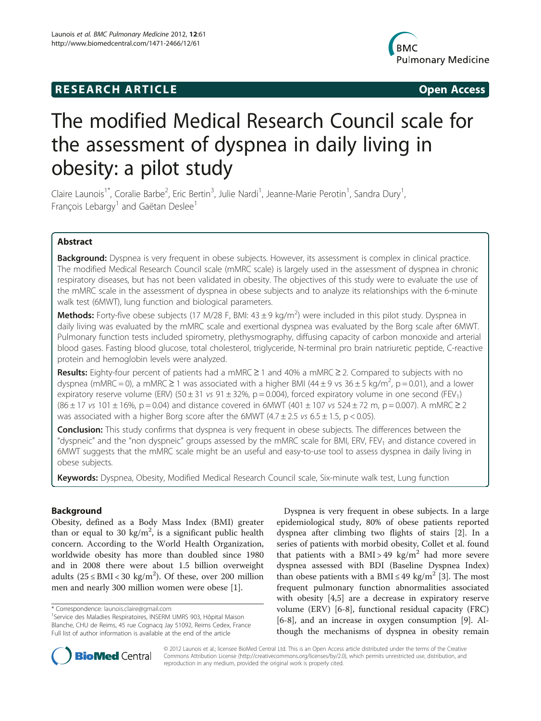# **RESEARCH ARTICLE Example 2014 CONSIDERING CONSIDERING CONSIDERING CONSIDERING CONSIDERING CONSIDERING CONSIDERING CONSIDERING CONSIDERING CONSIDERING CONSIDERING CONSIDERING CONSIDERING CONSIDERING CONSIDERING CONSIDE**



# The modified Medical Research Council scale for the assessment of dyspnea in daily living in obesity: a pilot study

Claire Launois<sup>1\*</sup>, Coralie Barbe<sup>2</sup>, Eric Bertin<sup>3</sup>, Julie Nardi<sup>1</sup>, Jeanne-Marie Perotin<sup>1</sup>, Sandra Dury<sup>1</sup> , François Lebargy<sup>1</sup> and Gaëtan Deslee<sup>1</sup>

# Abstract

Background: Dyspnea is very frequent in obese subjects. However, its assessment is complex in clinical practice. The modified Medical Research Council scale (mMRC scale) is largely used in the assessment of dyspnea in chronic respiratory diseases, but has not been validated in obesity. The objectives of this study were to evaluate the use of the mMRC scale in the assessment of dyspnea in obese subjects and to analyze its relationships with the 6-minute walk test (6MWT), lung function and biological parameters.

Methods: Forty-five obese subjects (17 M/28 F, BMI: 43 ± 9 kg/m<sup>2</sup>) were included in this pilot study. Dyspnea in daily living was evaluated by the mMRC scale and exertional dyspnea was evaluated by the Borg scale after 6MWT. Pulmonary function tests included spirometry, plethysmography, diffusing capacity of carbon monoxide and arterial blood gases. Fasting blood glucose, total cholesterol, triglyceride, N-terminal pro brain natriuretic peptide, C-reactive protein and hemoglobin levels were analyzed.

Results: Eighty-four percent of patients had a mMRC ≥ 1 and 40% a mMRC ≥ 2. Compared to subjects with no dyspnea (mMRC = 0), a mMRC  $\geq$  1 was associated with a higher BMI (44 ± 9 vs 36 ± 5 kg/m<sup>2</sup>, p = 0.01), and a lower expiratory reserve volume (ERV) (50 ± 31 vs 91 ± 32%, p = 0.004), forced expiratory volume in one second (FEV<sub>1</sub>)  $(86 \pm 17 \text{ vs } 101 \pm 16\%)$ , p = 0.04) and distance covered in 6MWT (401  $\pm$  107 vs 524  $\pm$  72 m, p = 0.007). A mMRC  $\geq$  2 was associated with a higher Borg score after the 6MWT (4.7  $\pm$  2.5 vs 6.5  $\pm$  1.5, p < 0.05).

Conclusion: This study confirms that dyspnea is very frequent in obese subjects. The differences between the "dyspneic" and the "non dyspneic" groups assessed by the mMRC scale for BMI, ERV, FEV<sub>1</sub> and distance covered in 6MWT suggests that the mMRC scale might be an useful and easy-to-use tool to assess dyspnea in daily living in obese subjects.

Keywords: Dyspnea, Obesity, Modified Medical Research Council scale, Six-minute walk test, Lung function

# Background

Obesity, defined as a Body Mass Index (BMI) greater than or equal to 30 kg/m<sup>2</sup>, is a significant public health concern. According to the World Health Organization, worldwide obesity has more than doubled since 1980 and in 2008 there were about 1.5 billion overweight adults  $(25 \leq BMI < 30 \text{ kg/m}^2)$ . Of these, over 200 million men and nearly 300 million women were obese [\[1\]](#page-5-0).

Dyspnea is very frequent in obese subjects. In a large epidemiological study, 80% of obese patients reported dyspnea after climbing two flights of stairs [[2\]](#page-5-0). In a series of patients with morbid obesity, Collet et al. found that patients with a BMI > 49 kg/m<sup>2</sup> had more severe dyspnea assessed with BDI (Baseline Dyspnea Index) than obese patients with a BMI  $\leq$  49 kg/m<sup>2</sup> [\[3\]](#page-5-0). The most frequent pulmonary function abnormalities associated with obesity [\[4,5](#page-5-0)] are a decrease in expiratory reserve volume (ERV) [[6-8](#page-5-0)], functional residual capacity (FRC) [[6-8](#page-5-0)], and an increase in oxygen consumption [[9\]](#page-5-0). Although the mechanisms of dyspnea in obesity remain



© 2012 Launois et al.; licensee BioMed Central Ltd. This is an Open Access article distributed under the terms of the Creative Commons Attribution License [\(http://creativecommons.org/licenses/by/2.0\)](http://creativecommons.org/licenses/by/2.0), which permits unrestricted use, distribution, and reproduction in any medium, provided the original work is properly cited.

<sup>\*</sup> Correspondence: [launois.claire@gmail.com](mailto:launois.claire@gmail.com) <sup>1</sup>

<sup>&</sup>lt;sup>1</sup> Service des Maladies Respiratoires, INSERM UMRS 903, Hôpital Maison Blanche, CHU de Reims, 45 rue Cognacq Jay 51092, Reims Cedex, France Full list of author information is available at the end of the article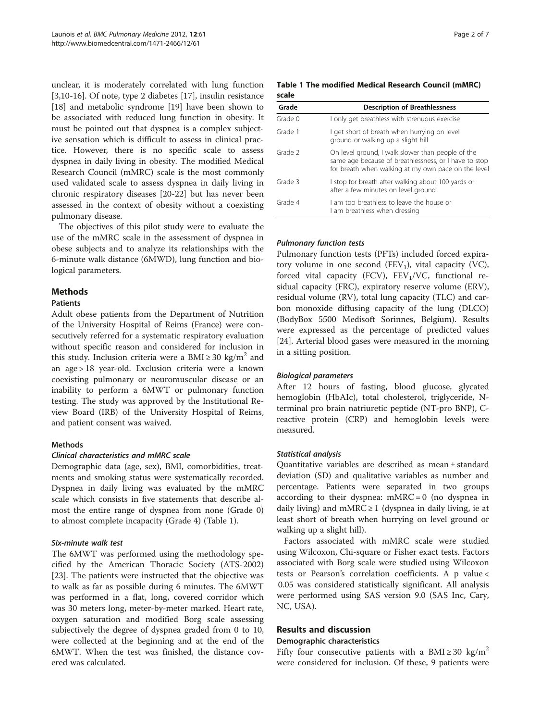unclear, it is moderately correlated with lung function [[3,10](#page-5-0)[-16](#page-6-0)]. Of note, type 2 diabetes [[17\]](#page-6-0), insulin resistance [[18\]](#page-6-0) and metabolic syndrome [\[19\]](#page-6-0) have been shown to be associated with reduced lung function in obesity. It must be pointed out that dyspnea is a complex subjective sensation which is difficult to assess in clinical practice. However, there is no specific scale to assess dyspnea in daily living in obesity. The modified Medical Research Council (mMRC) scale is the most commonly used validated scale to assess dyspnea in daily living in chronic respiratory diseases [\[20](#page-6-0)-[22](#page-6-0)] but has never been assessed in the context of obesity without a coexisting pulmonary disease.

The objectives of this pilot study were to evaluate the use of the mMRC scale in the assessment of dyspnea in obese subjects and to analyze its relationships with the 6-minute walk distance (6MWD), lung function and biological parameters.

# **Methods**

#### Patients

Adult obese patients from the Department of Nutrition of the University Hospital of Reims (France) were consecutively referred for a systematic respiratory evaluation without specific reason and considered for inclusion in this study. Inclusion criteria were a BMI  $\geq$  30 kg/m<sup>2</sup> and an age > 18 year-old. Exclusion criteria were a known coexisting pulmonary or neuromuscular disease or an inability to perform a 6MWT or pulmonary function testing. The study was approved by the Institutional Review Board (IRB) of the University Hospital of Reims, and patient consent was waived.

# Methods

# Clinical characteristics and mMRC scale

Demographic data (age, sex), BMI, comorbidities, treatments and smoking status were systematically recorded. Dyspnea in daily living was evaluated by the mMRC scale which consists in five statements that describe almost the entire range of dyspnea from none (Grade 0) to almost complete incapacity (Grade 4) (Table 1).

#### Six-minute walk test

The 6MWT was performed using the methodology specified by the American Thoracic Society (ATS-2002) [[23\]](#page-6-0). The patients were instructed that the objective was to walk as far as possible during 6 minutes. The 6MWT was performed in a flat, long, covered corridor which was 30 meters long, meter-by-meter marked. Heart rate, oxygen saturation and modified Borg scale assessing subjectively the degree of dyspnea graded from 0 to 10, were collected at the beginning and at the end of the 6MWT. When the test was finished, the distance covered was calculated.

Table 1 The modified Medical Research Council (mMRC) scale

| Grade   | <b>Description of Breathlessness</b>                                                                                                                              |
|---------|-------------------------------------------------------------------------------------------------------------------------------------------------------------------|
| Grade 0 | I only get breathless with strenuous exercise                                                                                                                     |
| Grade 1 | I get short of breath when hurrying on level<br>ground or walking up a slight hill                                                                                |
| Grade 2 | On level ground, I walk slower than people of the<br>same age because of breathlessness, or I have to stop<br>for breath when walking at my own pace on the level |
| Grade 3 | I stop for breath after walking about 100 yards or<br>after a few minutes on level ground                                                                         |
| Grade 4 | Lam too breathless to leave the house or<br>I am breathless when dressing                                                                                         |

# Pulmonary function tests

Pulmonary function tests (PFTs) included forced expiratory volume in one second  $(FEV<sub>1</sub>)$ , vital capacity (VC), forced vital capacity (FCV),  $FEV<sub>1</sub>/VC$ , functional residual capacity (FRC), expiratory reserve volume (ERV), residual volume (RV), total lung capacity (TLC) and carbon monoxide diffusing capacity of the lung (DLCO) (BodyBox 5500 Medisoft Sorinnes, Belgium). Results were expressed as the percentage of predicted values [[24\]](#page-6-0). Arterial blood gases were measured in the morning in a sitting position.

# Biological parameters

After 12 hours of fasting, blood glucose, glycated hemoglobin (HbAIc), total cholesterol, triglyceride, Nterminal pro brain natriuretic peptide (NT-pro BNP), Creactive protein (CRP) and hemoglobin levels were measured.

# Statistical analysis

Quantitative variables are described as mean ± standard deviation (SD) and qualitative variables as number and percentage. Patients were separated in two groups according to their dyspnea:  $mMRC = 0$  (no dyspnea in daily living) and mMRC  $\geq$  1 (dyspnea in daily living, ie at least short of breath when hurrying on level ground or walking up a slight hill).

Factors associated with mMRC scale were studied using Wilcoxon, Chi-square or Fisher exact tests. Factors associated with Borg scale were studied using Wilcoxon tests or Pearson's correlation coefficients. A p value < 0.05 was considered statistically significant. All analysis were performed using SAS version 9.0 (SAS Inc, Cary, NC, USA).

# Results and discussion

#### Demographic characteristics

Fifty four consecutive patients with a BMI  $\geq$  30 kg/m<sup>2</sup> were considered for inclusion. Of these, 9 patients were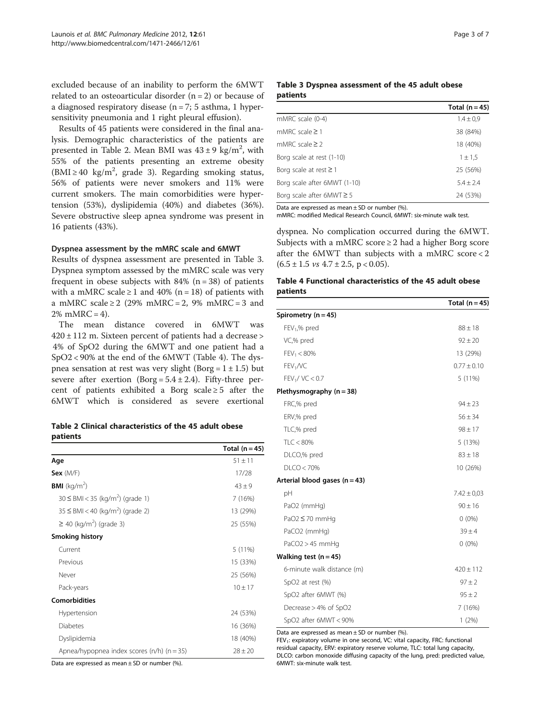<span id="page-2-0"></span>excluded because of an inability to perform the 6MWT related to an osteoarticular disorder  $(n = 2)$  or because of a diagnosed respiratory disease ( $n = 7$ ; 5 asthma, 1 hypersensitivity pneumonia and 1 right pleural effusion).

Results of 45 patients were considered in the final analysis. Demographic characteristics of the patients are presented in Table 2. Mean BMI was  $43 \pm 9$  kg/m<sup>2</sup>, with 55% of the patients presenting an extreme obesity (BMI ≥ 40 kg/m<sup>2</sup>, grade 3). Regarding smoking status, 56% of patients were never smokers and 11% were current smokers. The main comorbidities were hypertension (53%), dyslipidemia (40%) and diabetes (36%). Severe obstructive sleep apnea syndrome was present in 16 patients (43%).

#### Dyspnea assessment by the mMRC scale and 6MWT

Results of dyspnea assessment are presented in Table 3. Dyspnea symptom assessed by the mMRC scale was very frequent in obese subjects with 84% ( $n = 38$ ) of patients with a mMRC scale  $\geq 1$  and 40% (n = 18) of patients with a mMRC scale  $\geq$  2 (29% mMRC = 2, 9% mMRC = 3 and  $2\%$  mMRC = 4).

The mean distance covered in 6MWT was  $420 \pm 112$  m. Sixteen percent of patients had a decrease > 4% of SpO2 during the 6MWT and one patient had a SpO2 < 90% at the end of the 6MWT (Table 4). The dyspnea sensation at rest was very slight (Borg =  $1 \pm 1.5$ ) but severe after exertion  $(Borg = 5.4 \pm 2.4)$ . Fifty-three percent of patients exhibited a Borg scale  $\geq 5$  after the 6MWT which is considered as severe exertional

Table 2 Clinical characteristics of the 45 adult obese patients

|                                                   | Total $(n=45)$ |
|---------------------------------------------------|----------------|
| Age                                               | $51 \pm 11$    |
| Sex $(M/F)$                                       | 17/28          |
| <b>BMI</b> ( $kg/m2$ )                            | $43 + 9$       |
| $30 \leq BMI < 35$ (kg/m <sup>2</sup> ) (grade 1) | 7 (16%)        |
| $35 \leq BMI < 40$ (kg/m <sup>2</sup> ) (grade 2) | 13 (29%)       |
| $\geq$ 40 (kg/m <sup>2</sup> ) (grade 3)          | 25 (55%)       |
| <b>Smoking history</b>                            |                |
| Current                                           | 5 (11%)        |
| Previous                                          | 15 (33%)       |
| Never                                             | 25 (56%)       |
| Pack-years                                        | $10 \pm 17$    |
| <b>Comorbidities</b>                              |                |
| Hypertension                                      | 24 (53%)       |
| <b>Diabetes</b>                                   | 16 (36%)       |
| Dyslipidemia                                      | 18 (40%)       |
| Apnea/hypopnea index scores $(n/h)$ $(n = 35)$    | $78 + 20$      |

Data are expressed as mean  $\pm$  SD or number (%).

#### Table 3 Dyspnea assessment of the 45 adult obese patients

|                                | Total $(n=45)$ |
|--------------------------------|----------------|
| mMRC scale (0-4)               | $1.4 \pm 0.9$  |
| mMRC scale $\geq$ 1            | 38 (84%)       |
| mMRC scale $\geq$ 2            | 18 (40%)       |
| Borg scale at rest (1-10)      | $1 \pm 1.5$    |
| Borg scale at rest $\geq 1$    | 25 (56%)       |
| Borg scale after 6MWT (1-10)   | $5.4 \pm 2.4$  |
| Borg scale after $6MWT \geq 5$ | 24 (53%)       |

Data are expressed as mean  $\pm$  SD or number (%).

mMRC: modified Medical Research Council, 6MWT: six-minute walk test.

dyspnea. No complication occurred during the 6MWT. Subjects with a mMRC score  $\geq 2$  had a higher Borg score after the 6MWT than subjects with a mMRC score < 2  $(6.5 \pm 1.5 \text{ vs } 4.7 \pm 2.5, \text{ p} < 0.05).$ 

# Table 4 Functional characteristics of the 45 adult obese patients

|                                 | Total $(n = 45)$ |
|---------------------------------|------------------|
| Spirometry $(n = 45)$           |                  |
| $FEV1$ % pred                   | $88 \pm 18$      |
| VC,% pred                       | $92 \pm 20$      |
| $FEV_1 < 80\%$                  | 13 (29%)         |
| FEV <sub>1</sub> /VC            | $0.77 \pm 0.10$  |
| FEV <sub>1</sub> /VC < 0.7      | 5 (11%)          |
| Plethysmography $(n = 38)$      |                  |
| FRC,% pred                      | $94 \pm 23$      |
| ERV,% pred                      | $56 \pm 34$      |
| TLC,% pred                      | $98 \pm 17$      |
| TLC < 80%                       | 5 (13%)          |
| DLCO,% pred                     | $83 \pm 18$      |
| DLCO < 70%                      | 10 (26%)         |
| Arterial blood gases $(n = 43)$ |                  |
| pH                              | $7.42 \pm 0.03$  |
| PaO2 (mmHg)                     | $90 \pm 16$      |
| $PaO2 \leq 70$ mmHq             | $0(0\%)$         |
| PaCO2 (mmHg)                    | $39 + 4$         |
| $PaCO2 > 45$ mmHq               | $0(0\%)$         |
| Walking test $(n = 45)$         |                  |
| 6-minute walk distance (m)      | $420 \pm 112$    |
| SpO2 at rest (%)                | $97 + 2$         |
| SpO2 after 6MWT (%)             | $95 \pm 2$       |
| Decrease > 4% of SpO2           | 7(16%)           |
| SpO2 after 6MWT < 90%           | 1(2%)            |

Data are expressed as mean  $\pm$  SD or number (%).

 $FEV<sub>1</sub>$ : expiratory volume in one second, VC: vital capacity, FRC: functional residual capacity, ERV: expiratory reserve volume, TLC: total lung capacity, DLCO: carbon monoxide diffusing capacity of the lung, pred: predicted value, 6MWT: six-minute walk test.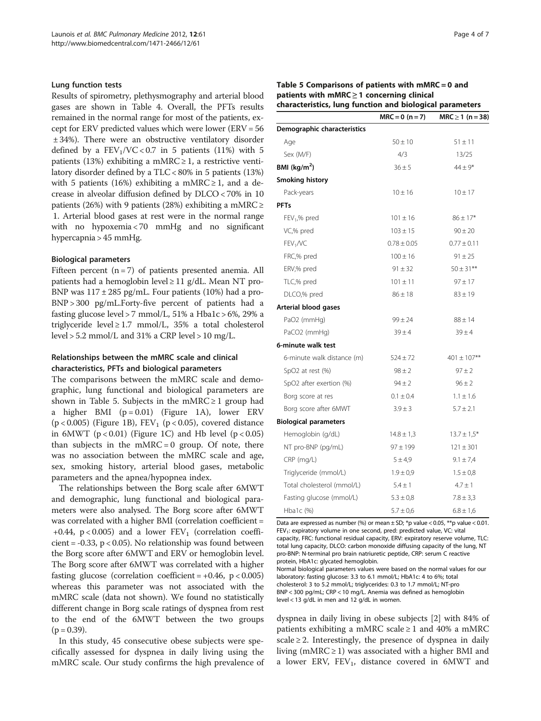#### Lung function tests

Results of spirometry, plethysmography and arterial blood gases are shown in Table [4](#page-2-0). Overall, the PFTs results remained in the normal range for most of the patients, except for ERV predicted values which were lower (ERV = 56 ± 34%). There were an obstructive ventilatory disorder defined by a  $FEV<sub>1</sub>/VC < 0.7$  in 5 patients (11%) with 5 patients (13%) exhibiting a mMRC  $\geq$  1, a restrictive ventilatory disorder defined by a TLC < 80% in 5 patients (13%) with 5 patients (16%) exhibiting a mMRC  $\geq$  1, and a decrease in alveolar diffusion defined by DLCO < 70% in 10 patients (26%) with 9 patients (28%) exhibiting a mMRC ≥ 1. Arterial blood gases at rest were in the normal range with no hypoxemia < 70 mmHg and no significant hypercapnia > 45 mmHg.

#### Biological parameters

Fifteen percent  $(n = 7)$  of patients presented anemia. All patients had a hemoglobin level  $\geq$  11 g/dL. Mean NT pro-BNP was  $117 \pm 285$  pg/mL. Four patients (10%) had a pro-BNP > 300 pg/mL.Forty-five percent of patients had a fasting glucose level > 7 mmol/L,  $51\%$  a Hba1c > 6%, 29% a triglyceride level  $\geq$  1.7 mmol/L, 35% a total cholesterol level  $> 5.2$  mmol/L and 31% a CRP level  $> 10$  mg/L.

#### Relationships between the mMRC scale and clinical characteristics, PFTs and biological parameters

The comparisons between the mMRC scale and demographic, lung functional and biological parameters are shown in Table 5. Subjects in the mMRC  $\geq 1$  group had a higher BMI  $(p = 0.01)$  (Figure [1A\)](#page-4-0), lower ERV ( $p < 0.005$ ) (Figure [1B\)](#page-4-0),  $FEV<sub>1</sub>$  ( $p < 0.05$ ), covered distance in 6MWT ( $p < 0.01$ ) (Figure [1C](#page-4-0)) and Hb level ( $p < 0.05$ ) than subjects in the  $mMRC = 0$  group. Of note, there was no association between the mMRC scale and age, sex, smoking history, arterial blood gases, metabolic parameters and the apnea/hypopnea index.

The relationships between the Borg scale after 6MWT and demographic, lung functional and biological parameters were also analysed. The Borg score after 6MWT was correlated with a higher BMI (correlation coefficient = +0.44,  $p < 0.005$ ) and a lower  $FEV_1$  (correlation coefficient =  $-0.33$ , p < 0.05). No relationship was found between the Borg score after 6MWT and ERV or hemoglobin level. The Borg score after 6MWT was correlated with a higher fasting glucose (correlation coefficient =  $+0.46$ , p < 0.005) whereas this parameter was not associated with the mMRC scale (data not shown). We found no statistically different change in Borg scale ratings of dyspnea from rest to the end of the 6MWT between the two groups  $(p = 0.39)$ .

In this study, 45 consecutive obese subjects were specifically assessed for dyspnea in daily living using the mMRC scale. Our study confirms the high prevalence of

|                                                 | Table 5 Comparisons of patients with $mMRC = 0$ and      |
|-------------------------------------------------|----------------------------------------------------------|
| patients with $mMRC \geq 1$ concerning clinical |                                                          |
|                                                 | characteristics, lung function and biological parameters |

| naraccenses, rang ranceion and biological parameter |                   |                      |  |
|-----------------------------------------------------|-------------------|----------------------|--|
|                                                     | $MRC = 0 (n = 7)$ | $MRC \ge 1$ (n = 38) |  |
| Demographic characteristics                         |                   |                      |  |
| Age                                                 | $50 \pm 10$       | $51 \pm 11$          |  |
| Sex (M/F)                                           | 4/3               | 13/25                |  |
| BMI ( $kg/m2$ )                                     | $36 \pm 5$        | $44 \pm 9*$          |  |
| <b>Smoking history</b>                              |                   |                      |  |
| Pack-years                                          | $10 \pm 16$       | $10 \pm 17$          |  |
| <b>PFTs</b>                                         |                   |                      |  |
| $FEV1$ % pred                                       | $101 \pm 16$      | $86 \pm 17*$         |  |
| VC,% pred                                           | $103 \pm 15$      | $90 \pm 20$          |  |
| FEV <sub>1</sub> /VC                                | $0.78 \pm 0.05$   | $0.77 \pm 0.11$      |  |
| FRC,% pred                                          | $100 \pm 16$      | $91 \pm 25$          |  |
| ERV,% pred                                          | $91 \pm 32$       | $50 \pm 31***$       |  |
| TLC,% pred                                          | $101 \pm 11$      | $97 + 17$            |  |
| DLCO,% pred                                         | $86 \pm 18$       | $83 \pm 19$          |  |
| Arterial blood gases                                |                   |                      |  |
| PaO2 (mmHg)                                         | $99 \pm 24$       | $88 \pm 14$          |  |
| PaCO2 (mmHg)                                        | $39 \pm 4$        | $39 \pm 4$           |  |
| 6-minute walk test                                  |                   |                      |  |
| 6-minute walk distance (m)                          | $524 \pm 72$      | $401 \pm 107$ **     |  |
| SpO2 at rest (%)                                    | $98 \pm 2$        | $97 \pm 2$           |  |
| SpO2 after exertion (%)                             | $94 \pm 2$        | $96 \pm 2$           |  |
| Borg score at res                                   | $0.1 \pm 0.4$     | $1.1 \pm 1.6$        |  |
| Borg score after 6MWT                               | $3.9 \pm 3$       | $5.7 \pm 2.1$        |  |
| <b>Biological parameters</b>                        |                   |                      |  |
| Hemoglobin (g/dL)                                   | $14.8 \pm 1.3$    | $13.7 \pm 1.5*$      |  |
| NT pro-BNP (pg/mL)                                  | $97 \pm 199$      | $121 \pm 301$        |  |
| $CRP$ (mg/L)                                        | 5 ± 4.9           | $9.1 \pm 7.4$        |  |
| Triglyceride (mmol/L)                               | $1.9 \pm 0.9$     | $1.5 \pm 0.8$        |  |
| Total cholesterol (mmol/L)                          | $5.4 \pm 1$       | $4.7 \pm 1$          |  |
| Fasting glucose (mmol/L)                            | $5.3 \pm 0.8$     | $7.8 \pm 3.3$        |  |
| Hba1c (%)                                           | $5.7 \pm 0.6$     | $6.8 \pm 1.6$        |  |

Data are expressed as number (%) or mean  $\pm$  SD; \*p value < 0.05, \*\*p value < 0.01. FEV<sub>1</sub>: expiratory volume in one second, pred: predicted value, VC: vital capacity, FRC: functional residual capacity, ERV: expiratory reserve volume, TLC: total lung capacity, DLCO: carbon monoxide diffusing capacity of the lung, NT pro-BNP: N-terminal pro brain natriuretic peptide, CRP: serum C reactive protein, HbA1c: glycated hemoglobin.

Normal biological parameters values were based on the normal values for our laboratory: fasting glucose: 3.3 to 6.1 mmol/L; HbA1c: 4 to 6%; total cholesterol: 3 to 5.2 mmol/L; triglycerides: 0.3 to 1.7 mmol/L; NT-pro BNP < 300 pg/mL; CRP < 10 mg/L. Anemia was defined as hemoglobin level < 13 g/dL in men and 12 g/dL in women.

dyspnea in daily living in obese subjects [[2\]](#page-5-0) with 84% of patients exhibiting a mMRC scale  $\geq 1$  and 40% a mMRC scale  $\geq$  2. Interestingly, the presence of dyspnea in daily living (mMRC  $\geq$  1) was associated with a higher BMI and a lower ERV,  $FEV_1$ , distance covered in  $6MWT$  and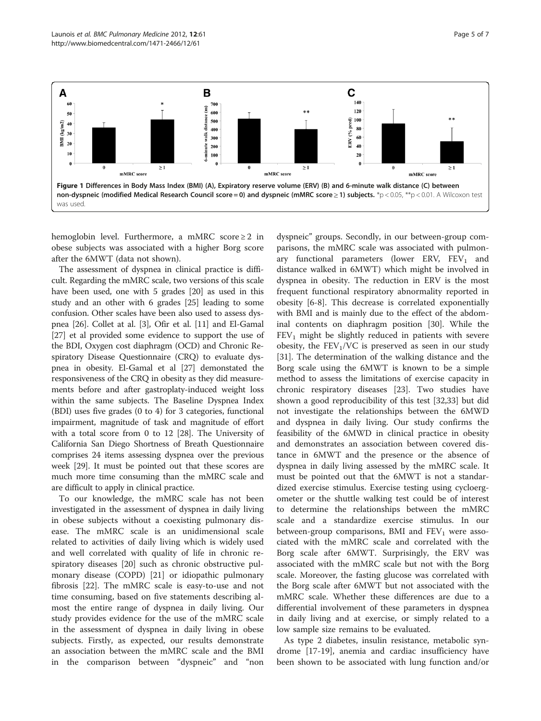<span id="page-4-0"></span>

hemoglobin level. Furthermore, a mMRC score  $\geq 2$  in obese subjects was associated with a higher Borg score after the 6MWT (data not shown).

The assessment of dyspnea in clinical practice is difficult. Regarding the mMRC scale, two versions of this scale have been used, one with 5 grades [\[20\]](#page-6-0) as used in this study and an other with 6 grades [\[25](#page-6-0)] leading to some confusion. Other scales have been also used to assess dyspnea [[26](#page-6-0)]. Collet at al. [\[3](#page-5-0)], Ofir et al. [\[11](#page-5-0)] and El-Gamal [[27](#page-6-0)] et al provided some evidence to support the use of the BDI, Oxygen cost diaphragm (OCD) and Chronic Respiratory Disease Questionnaire (CRQ) to evaluate dyspnea in obesity. El-Gamal et al [\[27](#page-6-0)] demonstated the responsiveness of the CRQ in obesity as they did measurements before and after gastroplaty-induced weight loss within the same subjects. The Baseline Dyspnea Index (BDI) uses five grades (0 to 4) for 3 categories, functional impairment, magnitude of task and magnitude of effort with a total score from 0 to 12 [\[28\]](#page-6-0). The University of California San Diego Shortness of Breath Questionnaire comprises 24 items assessing dyspnea over the previous week [\[29\]](#page-6-0). It must be pointed out that these scores are much more time consuming than the mMRC scale and are difficult to apply in clinical practice.

To our knowledge, the mMRC scale has not been investigated in the assessment of dyspnea in daily living in obese subjects without a coexisting pulmonary disease. The mMRC scale is an unidimensional scale related to activities of daily living which is widely used and well correlated with quality of life in chronic respiratory diseases [[20](#page-6-0)] such as chronic obstructive pulmonary disease (COPD) [\[21](#page-6-0)] or idiopathic pulmonary fibrosis [\[22](#page-6-0)]. The mMRC scale is easy-to-use and not time consuming, based on five statements describing almost the entire range of dyspnea in daily living. Our study provides evidence for the use of the mMRC scale in the assessment of dyspnea in daily living in obese subjects. Firstly, as expected, our results demonstrate an association between the mMRC scale and the BMI in the comparison between "dyspneic" and "non

dyspneic" groups. Secondly, in our between-group comparisons, the mMRC scale was associated with pulmonary functional parameters (lower ERV,  $FEV<sub>1</sub>$  and distance walked in 6MWT) which might be involved in dyspnea in obesity. The reduction in ERV is the most frequent functional respiratory abnormality reported in obesity [\[6](#page-5-0)-[8\]](#page-5-0). This decrease is correlated exponentially with BMI and is mainly due to the effect of the abdominal contents on diaphragm position [\[30\]](#page-6-0). While the  $FEV<sub>1</sub>$  might be slightly reduced in patients with severe obesity, the  $FEV<sub>1</sub>/VC$  is preserved as seen in our study [[31\]](#page-6-0). The determination of the walking distance and the Borg scale using the 6MWT is known to be a simple method to assess the limitations of exercise capacity in chronic respiratory diseases [[23\]](#page-6-0). Two studies have shown a good reproducibility of this test [\[32,33\]](#page-6-0) but did not investigate the relationships between the 6MWD and dyspnea in daily living. Our study confirms the feasibility of the 6MWD in clinical practice in obesity and demonstrates an association between covered distance in 6MWT and the presence or the absence of dyspnea in daily living assessed by the mMRC scale. It must be pointed out that the 6MWT is not a standardized exercise stimulus. Exercise testing using cycloergometer or the shuttle walking test could be of interest to determine the relationships between the mMRC scale and a standardize exercise stimulus. In our between-group comparisons, BMI and  $FEV<sub>1</sub>$  were associated with the mMRC scale and correlated with the Borg scale after 6MWT. Surprisingly, the ERV was associated with the mMRC scale but not with the Borg scale. Moreover, the fasting glucose was correlated with the Borg scale after 6MWT but not associated with the mMRC scale. Whether these differences are due to a differential involvement of these parameters in dyspnea in daily living and at exercise, or simply related to a low sample size remains to be evaluated.

As type 2 diabetes, insulin resistance, metabolic syndrome [[17-19](#page-6-0)], anemia and cardiac insufficiency have been shown to be associated with lung function and/or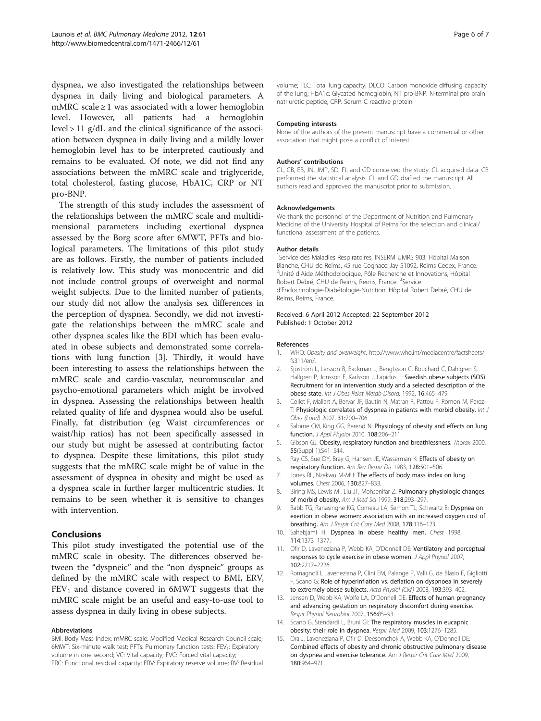<span id="page-5-0"></span>dyspnea, we also investigated the relationships between dyspnea in daily living and biological parameters. A mMRC scale  $\geq 1$  was associated with a lower hemoglobin level. However, all patients had a hemoglobin level > 11 g/dL and the clinical significance of the association between dyspnea in daily living and a mildly lower hemoglobin level has to be interpreted cautiously and remains to be evaluated. Of note, we did not find any associations between the mMRC scale and triglyceride, total cholesterol, fasting glucose, HbA1C, CRP or NT pro-BNP.

The strength of this study includes the assessment of the relationships between the mMRC scale and multidimensional parameters including exertional dyspnea assessed by the Borg score after 6MWT, PFTs and biological parameters. The limitations of this pilot study are as follows. Firstly, the number of patients included is relatively low. This study was monocentric and did not include control groups of overweight and normal weight subjects. Due to the limited number of patients, our study did not allow the analysis sex differences in the perception of dyspnea. Secondly, we did not investigate the relationships between the mMRC scale and other dyspnea scales like the BDI which has been evaluated in obese subjects and demonstrated some correlations with lung function [3]. Thirdly, it would have been interesting to assess the relationships between the mMRC scale and cardio-vascular, neuromuscular and psycho-emotional parameters which might be involved in dyspnea. Assessing the relationships between health related quality of life and dyspnea would also be useful. Finally, fat distribution (eg Waist circumferences or waist/hip ratios) has not been specifically assessed in our study but might be assessed at contributing factor to dyspnea. Despite these limitations, this pilot study suggests that the mMRC scale might be of value in the assessment of dyspnea in obesity and might be used as a dyspnea scale in further larger multicentric studies. It remains to be seen whether it is sensitive to changes with intervention.

# Conclusions

This pilot study investigated the potential use of the mMRC scale in obesity. The differences observed between the "dyspneic" and the "non dyspneic" groups as defined by the mMRC scale with respect to BMI, ERV,  $FEV<sub>1</sub>$  and distance covered in 6MWT suggests that the mMRC scale might be an useful and easy-to-use tool to assess dyspnea in daily living in obese subjects.

#### Abbreviations

BMI: Body Mass Index; mMRC scale: Modified Medical Research Council scale; 6MWT: Six-minute walk test; PFTs: Pulmonary function tests; FEV<sub>1</sub>: Expiratory volume in one second; VC: Vital capacity; FVC: Forced vital capacity; FRC: Functional residual capacity; ERV: Expiratory reserve volume; RV: Residual

volume; TLC: Total lung capacity; DLCO: Carbon monoxide diffusing capacity of the lung; HbA1c: Glycated hemoglobin; NT pro-BNP: N-terminal pro brain natriuretic peptide; CRP: Serum C reactive protein.

#### Competing interests

None of the authors of the present manuscript have a commercial or other association that might pose a conflict of interest.

#### Authors' contributions

CL, CB, EB, JN, JMP, SD, FL and GD conceived the study. CL acquired data. CB performed the statistical analysis. CL and GD drafted the manuscript. All authors read and approved the manuscript prior to submission.

#### Acknowledgements

We thank the personnel of the Department of Nutrition and Pulmonary Medicine of the University Hospital of Reims for the selection and clinical/ functional assessment of the patients.

#### Author details

<sup>1</sup>Service des Maladies Respiratoires, INSERM UMRS 903, Hôpital Maison Blanche, CHU de Reims, 45 rue Cognacq Jay 51092, Reims Cedex, France. <sup>2</sup>Unité d'Aide Méthodologique, Pôle Recherche et Innovations, Hôpital Robert Debré, CHU de Reims, Reims, France. <sup>3</sup>Service d'Endocrinologie-Diabétologie-Nutrition, Hôpital Robert Debré, CHU de Reims, Reims, France.

#### Received: 6 April 2012 Accepted: 22 September 2012 Published: 1 October 2012

#### References

- WHO: Obesity and overweight. [http://www.who.int/mediacentre/factsheets/](http://www.who.int/mediacentre/factsheets/fs311/en/) [fs311/en/.](http://www.who.int/mediacentre/factsheets/fs311/en/)
- 2. Sjöström L, Larsson B, Backman L, Bengtsson C, Bouchard C, Dahlgren S, Hallgren P, Jonsson E, Karlsson J, Lapidus L: Swedish obese subjects (SOS). Recruitment for an intervention study and a selected description of the obese state. Int J Obes Relat Metab Disord. 1992, 16:465–479.
- 3. Collet F, Mallart A, Bervar JF, Bautin N, Matran R, Pattou F, Romon M, Perez T: Physiologic correlates of dyspnea in patients with morbid obesity. Int J Obes (Lond) 2007, 31:700–706.
- 4. Salome CM, King GG, Berend N: Physiology of obesity and effects on lung function. J Appl Physiol 2010, 108:206–211.
- 5. Gibson GJ: Obesity, respiratory function and breathlessness. Thorax 2000, 55(Suppl 1):S41–S44.
- 6. Ray CS, Sue DY, Bray G, Hansen JE, Wasserman K: Effects of obesity on respiratory function. Am Rev Respir Dis 1983, 128:501–506.
- 7. Jones RL, Nzekwu M-MU: The effects of body mass index on lung volumes. Chest 2006, 130:827–833.
- 8. Biring MS, Lewis MI, Liu JT, Mohsenifar Z: Pulmonary physiologic changes of morbid obesity. Am J Med Sci 1999, 318:293–297.
- 9. Babb TG, Ranasinghe KG, Comeau LA, Semon TL, Schwartz B: Dyspnea on exertion in obese women: association with an increased oxygen cost of breathing. Am J Respir Crit Care Med 2008, 178:116–123.
- 10. Sahebjami H: Dyspnea in obese healthy men. Chest 1998, 114:1373–1377.
- 11. Ofir D, Laveneziana P, Webb KA, O'Donnell DE: Ventilatory and perceptual responses to cycle exercise in obese women. J Appl Physiol 2007, 102:2217–2226.
- 12. Romagnoli I, Laveneziana P, Clini EM, Palange P, Valli G, de Blasio F, Gigliotti F, Scano G: Role of hyperinflation vs. deflation on dyspnoea in severely to extremely obese subjects. Acta Physiol (Oxf) 2008, 193:393–402.
- 13. Jensen D, Webb KA, Wolfe LA, O'Donnell DE: Effects of human pregnancy and advancing gestation on respiratory discomfort during exercise. Respir Physiol Neurobiol 2007, 156:85–93.
- 14. Scano G, Stendardi L, Bruni Gl: The respiratory muscles in eucapnic obesity: their role in dyspnea. Respir Med 2009, 103:1276–1285.
- 15. Ora J, Laveneziana P, Ofir D, Deesomchok A, Webb KA, O'Donnell DE: Combined effects of obesity and chronic obstructive pulmonary disease on dyspnea and exercise tolerance. Am J Respir Crit Care Med 2009, 180:964–971.